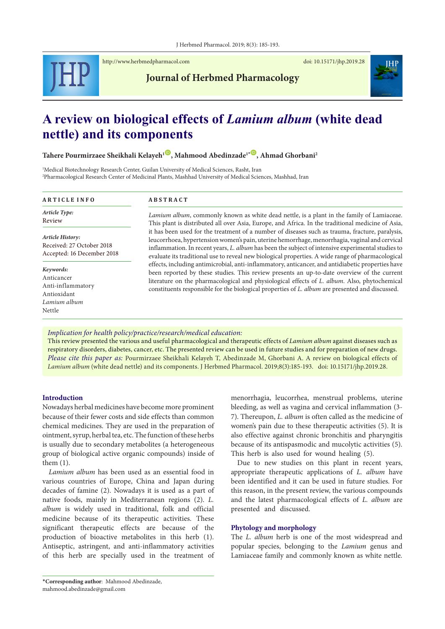

<http://www.herbmedpharmacol.com> doi: [10.15171/jhp.2019.28](https://doi.org/10.15171/jhp.2019.28)

**Journal of Herbmed Pharmacology**



# **A review on biological effects of** *Lamium album* **(white dead nettle) and its components**

Tahere Pourmirzaee Sheikhali Kelayeh<sup>1</sup><sup>(0</sup>, Mahmood Abedinzade<sup>1</sub><sup>, (0</sup>, Ahmad Ghorbani<sup>2</sup>)</sup>

<sup>1</sup>Medical Biotechnology Research Center, Guilan University of Medical Sciences, Rasht, Iran 2 Pharmacological Research Center of Medicinal Plants, Mashhad University of Medical Sciences, Mashhad, Iran

| <b>ARTICLE INFO</b>                                                                   | <b>ABSTRACT</b>                                                                                                                                                                                                                                                                                                                                                                                                                                                                                                                                                                                                      |
|---------------------------------------------------------------------------------------|----------------------------------------------------------------------------------------------------------------------------------------------------------------------------------------------------------------------------------------------------------------------------------------------------------------------------------------------------------------------------------------------------------------------------------------------------------------------------------------------------------------------------------------------------------------------------------------------------------------------|
| Article Type:<br>Review                                                               | <i>Lamium album</i> , commonly known as white dead nettle, is a plant in the family of Lamiaceae.<br>This plant is distributed all over Asia, Europe, and Africa. In the traditional medicine of Asia,<br>it has been used for the treatment of a number of diseases such as trauma, fracture, paralysis,<br>leucorrhoea, hypertension women's pain, uterine hemorrhage, menorrhagia, vaginal and cervical<br>inflammation. In recent years, L. album has been the subject of intensive experimental studies to<br>evaluate its traditional use to reveal new biological properties. A wide range of pharmacological |
| Article History:<br>Received: 27 October 2018<br>Accepted: 16 December 2018           |                                                                                                                                                                                                                                                                                                                                                                                                                                                                                                                                                                                                                      |
| Keywords:<br>Anticancer<br>Anti-inflammatory<br>Antioxidant<br>Lamium album<br>Nettle | effects, including antimicrobial, anti-inflammatory, anticancer, and antidiabetic properties have<br>been reported by these studies. This review presents an up-to-date overview of the current<br>literature on the pharmacological and physiological effects of L. album. Also, phytochemical<br>constituents responsible for the biological properties of L. album are presented and discussed.                                                                                                                                                                                                                   |

*Implication for health policy/practice/research/medical education:*

This review presented the various and useful pharmacological and therapeutic effects of *Lamium album* against diseases such as respiratory disorders, diabetes, cancer, etc. The presented review can be used in future studies and for preparation of new drugs. *Please cite this paper as:* Pourmirzaee Sheikhali Kelayeh T, Abedinzade M, Ghorbani A. A review on biological effects of *Lamium album* (white dead nettle) and its components. J Herbmed Pharmacol. 2019;8(3):185-193. doi: 10.15171/jhp.2019.28.

#### **Introduction**

Nowadays herbal medicines have become more prominent because of their fewer costs and side effects than common chemical medicines. They are used in the preparation of ointment, syrup, herbal tea, etc. The function of these herbs is usually due to secondary metabolites (a heterogeneous group of biological active organic compounds) inside of them (1).

*Lamium album* has been used as an essential food in various countries of Europe, China and Japan during decades of famine (2). Nowadays it is used as a part of native foods, mainly in Mediterranean regions (2). *L. album* is widely used in traditional, folk and official medicine because of its therapeutic activities. These significant therapeutic effects are because of the production of bioactive metabolites in this herb (1). Antiseptic, astringent, and anti-inflammatory activities of this herb are specially used in the treatment of

menorrhagia, leucorrhea, menstrual problems, uterine bleeding, as well as vagina and cervical inflammation (3- 7). Thereupon, *L. album* is often called as the medicine of women's pain due to these therapeutic activities (5). It is also effective against chronic bronchitis and pharyngitis because of its antispasmodic and mucolytic activities (5). This herb is also used for wound healing (5).

Due to new studies on this plant in recent years, appropriate therapeutic applications of *L. album* have been identified and it can be used in future studies. For this reason, in the present review, the various compounds and the latest pharmacological effects of *L. album* are presented and discussed.

## **Phytology and morphology**

The *L. album* herb is one of the most widespread and popular species, belonging to the *Lamium* genus and Lamiaceae family and commonly known as white nettle*.* 

<sup>\*</sup>**Corresponding author**: Mahmood Abedinzade, mahmood.abedinzade@gmail.com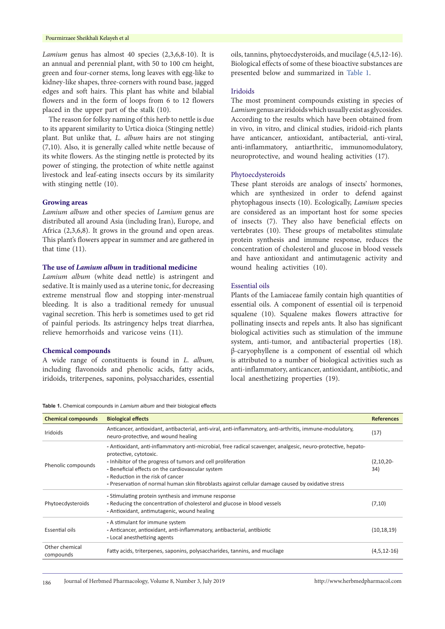*Lamium* genus has almost 40 species (2,3,6,8-10). It is an annual and perennial plant, with 50 to 100 cm height, green and four-corner stems, long leaves with egg-like to kidney-like shapes, three-corners with round base, jagged edges and soft hairs. This plant has white and bilabial flowers and in the form of loops from 6 to 12 flowers placed in the upper part of the stalk (10).

The reason for folksy naming of this herb to nettle is due to its apparent similarity to Urtica dioica (Stinging nettle) plant. But unlike that*, L. album* hairs are not stinging (7,10). Also, it is generally called white nettle because of its white flowers. As the stinging nettle is protected by its power of stinging, the protection of white nettle against livestock and leaf-eating insects occurs by its similarity with stinging nettle (10).

#### **Growing areas**

*Lamium album* and other species of *Lamium* genus are distributed all around Asia (including Iran), Europe, and Africa (2,3,6,8). It grows in the ground and open areas. This plant's flowers appear in summer and are gathered in that time (11).

# **The use of** *Lamium album* **in traditional medicine**

*Lamium album* (white dead nettle) is astringent and sedative. It is mainly used as a uterine tonic, for decreasing extreme menstrual flow and stopping inter-menstrual bleeding. It is also a traditional remedy for unusual vaginal secretion. This herb is sometimes used to get rid of painful periods. Its astringency helps treat diarrhea, relieve hemorrhoids and varicose veins (11).

## **Chemical compounds**

A wide range of constituents is found in *L. album,*  including flavonoids and phenolic acids, fatty acids, iridoids, triterpenes, saponins, polysaccharides, essential oils, tannins, phytoecdysteroids, and mucilage (4,5,12-16). Biological effects of some of these bioactive substances are presented below and summarized in [Table](#page-1-0) 1.

#### Iridoids

The most prominent compounds existing in species of *Lamium* genus are iridoids which usually exist as glycosides. According to the results which have been obtained from in vivo, in vitro, and clinical studies, iridoid-rich plants have anticancer, antioxidant, antibacterial, anti-viral, anti-inflammatory, antiarthritic, immunomodulatory, neuroprotective, and wound healing activities (17).

#### Phytoecdysteroids

These plant steroids are analogs of insects' hormones, which are synthesized in order to defend against phytophagous insects (10). Ecologically, *Lamium* species are considered as an important host for some species of insects (7). They also have beneficial effects on vertebrates (10). These groups of metabolites stimulate protein synthesis and immune response, reduces the concentration of cholesterol and glucose in blood vessels and have antioxidant and antimutagenic activity and wound healing activities (10).

## Essential oils

Plants of the Lamiaceae family contain high quantities of essential oils. A component of essential oil is terpenoid squalene (10). Squalene makes flowers attractive for pollinating insects and repels ants. It also has significant biological activities such as stimulation of the immune system, anti-tumor, and antibacterial properties (18). β-caryophyllene is a component of essential oil which is attributed to a number of biological activities such as anti-inflammatory, anticancer, antioxidant, antibiotic, and local anesthetizing properties (19).

<span id="page-1-0"></span>**Table 1.** Chemical compounds in *Lamium album* and their biological effects

| <b>Chemical compounds</b>   | <b>Biological effects</b>                                                                                                                                                                                                                                                                                                                                                                               | <b>References</b>     |
|-----------------------------|---------------------------------------------------------------------------------------------------------------------------------------------------------------------------------------------------------------------------------------------------------------------------------------------------------------------------------------------------------------------------------------------------------|-----------------------|
| <b>Iridoids</b>             | Anticancer, antioxidant, antibacterial, anti-viral, anti-inflammatory, anti-arthritis, immune-modulatory,<br>neuro-protective, and wound healing                                                                                                                                                                                                                                                        | (17)                  |
| Phenolic compounds          | - Antioxidant, anti-inflammatory anti-microbial, free radical scavenger, analgesic, neuro-protective, hepato-<br>protective, cytotoxic.<br>- Inhibitor of the progress of tumors and cell proliferation<br>- Beneficial effects on the cardiovascular system<br>- Reduction in the risk of cancer<br>- Preservation of normal human skin fibroblasts against cellular damage caused by oxidative stress | $(2, 10, 20 -$<br>34) |
| Phytoecdysteroids           | - Stimulating protein synthesis and immune response<br>- Reducing the concentration of cholesterol and glucose in blood vessels<br>- Antioxidant, antimutagenic, wound healing                                                                                                                                                                                                                          | (7, 10)               |
| Essential oils              | - A stimulant for immune system<br>- Anticancer, antioxidant, anti-inflammatory, antibacterial, antibiotic<br>- Local anesthetizing agents                                                                                                                                                                                                                                                              | (10, 18, 19)          |
| Other chemical<br>compounds | Fatty acids, triterpenes, saponins, polysaccharides, tannins, and mucilage                                                                                                                                                                                                                                                                                                                              | $(4,5,12-16)$         |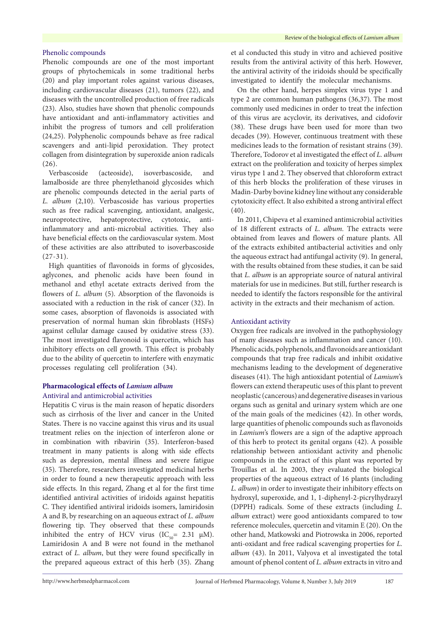## Phenolic compounds

Phenolic compounds are one of the most important groups of phytochemicals in some traditional herbs (20) and play important roles against various diseases, including cardiovascular diseases (21), tumors (22), and diseases with the uncontrolled production of free radicals (23). Also, studies have shown that phenolic compounds have antioxidant and anti-inflammatory activities and inhibit the progress of tumors and cell proliferation (24,25). Polyphenolic compounds behave as free radical scavengers and anti-lipid peroxidation. They protect collagen from disintegration by superoxide anion radicals (26).

Verbascoside (acteoside), isoverbascoside, and lamalboside are three phenylethanoid glycosides which are phenolic compounds detected in the aerial parts of *L. album* (2,10). Verbascoside has various properties such as free radical scavenging, antioxidant, analgesic, neuroprotective, hepatoprotective, cytotoxic, antiinflammatory and anti-microbial activities. They also have beneficial effects on the cardiovascular system. Most of these activities are also attributed to isoverbascoside  $(27-31)$ .

High quantities of flavonoids in forms of glycosides, aglycones, and phenolic acids have been found in methanol and ethyl acetate extracts derived from the flowers of *L. album* (5). Absorption of the flavonoids is associated with a reduction in the risk of cancer (32). In some cases, absorption of flavonoids is associated with preservation of normal human skin fibroblasts (HSFs) against cellular damage caused by oxidative stress (33). The most investigated flavonoid is quercetin, which has inhibitory effects on cell growth. This effect is probably due to the ability of quercetin to interfere with enzymatic processes regulating cell proliferation (34).

## **Pharmacological effects of** *Lamium album* Antiviral and antimicrobial activities

Hepatitis C virus is the main reason of hepatic disorders such as cirrhosis of the liver and cancer in the United States. There is no vaccine against this virus and its usual treatment relies on the injection of interferon alone or in combination with ribavirin (35). Interferon-based treatment in many patients is along with side effects such as depression, mental illness and severe fatigue (35). Therefore, researchers investigated medicinal herbs in order to found a new therapeutic approach with less side effects. In this regard, Zhang et al for the first time identified antiviral activities of iridoids against hepatitis C. They identified antiviral iridoids isomers, lamiridosin A and B, by researching on an aqueous extract of *L. album* flowering tip. They observed that these compounds inhibited the entry of HCV virus  $(IC_{50} = 2.31 \mu M)$ . Lamiridosin A and B were not found in the methanol extract of *L. album*, but they were found specifically in the prepared aqueous extract of this herb (35). Zhang et al conducted this study in vitro and achieved positive results from the antiviral activity of this herb. However, the antiviral activity of the iridoids should be specifically investigated to identify the molecular mechanisms.

On the other hand, herpes simplex virus type 1 and type 2 are common human pathogens (36,37). The most commonly used medicines in order to treat the infection of this virus are acyclovir, its derivatives, and cidofovir (38). These drugs have been used for more than two decades (39). However, continuous treatment with these medicines leads to the formation of resistant strains (39). Therefore, Todorov et al investigated the effect of *L. album* extract on the proliferation and toxicity of herpes simplex virus type 1 and 2. They observed that chloroform extract of this herb blocks the proliferation of these viruses in Madin-Darby bovine kidney line without any considerable cytotoxicity effect. It also exhibited a strong antiviral effect (40).

In 2011, Chipeva et al examined antimicrobial activities of 18 different extracts of *L. album.* The extracts were obtained from leaves and flowers of mature plants. All of the extracts exhibited antibacterial activities and only the aqueous extract had antifungal activity (9). In general, with the results obtained from these studies, it can be said that *L. album* is an appropriate source of natural antiviral materials for use in medicines. But still, further research is needed to identify the factors responsible for the antiviral activity in the extracts and their mechanism of action.

## Antioxidant activity

Oxygen free radicals are involved in the pathophysiology of many diseases such as inflammation and cancer (10). Phenolic acids, polyphenols, and flavonoids are antioxidant compounds that trap free radicals and inhibit oxidative mechanisms leading to the development of degenerative diseases (41). The high antioxidant potential of *Lamium*'s flowers can extend therapeutic uses of this plant to prevent neoplastic (cancerous) and degenerative diseases in various organs such as genital and urinary system which are one of the main goals of the medicines (42). In other words, large quantities of phenolic compounds such as flavonoids in *Lamium*'s flowers are a sign of the adaptive approach of this herb to protect its genital organs (42). A possible relationship between antioxidant activity and phenolic compounds in the extract of this plant was reported by Trouillas et al. In 2003, they evaluated the biological properties of the aqueous extract of 16 plants (including *L. album*) in order to investigate their inhibitory effects on hydroxyl, superoxide, and 1, 1-diphenyl-2-picrylhydrazyl (DPPH) radicals. Some of these extracts (including *L. album* extract) were good antioxidants compared to tow reference molecules, quercetin and vitamin E (20). On the other hand, Matkowski and Piotrowska in 2006, reported anti-oxidant and free radical scavenging properties for *L. album* (43). In 2011, Valyova et al investigated the total amount of phenol content of *L. album* extracts in vitro and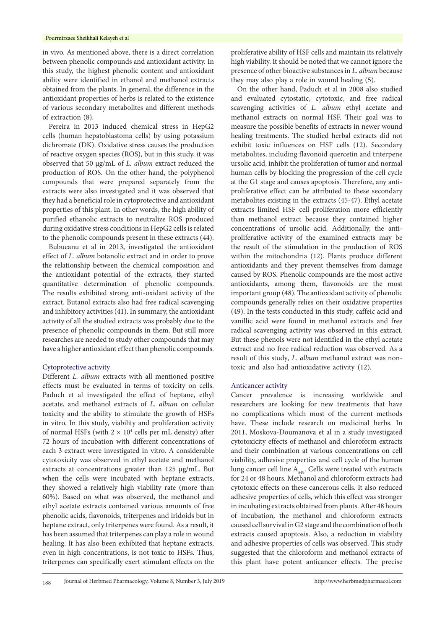in vivo. As mentioned above, there is a direct correlation between phenolic compounds and antioxidant activity. In this study, the highest phenolic content and antioxidant ability were identified in ethanol and methanol extracts obtained from the plants. In general, the difference in the antioxidant properties of herbs is related to the existence of various secondary metabolites and different methods of extraction (8).

Pereira in 2013 induced chemical stress in HepG2 cells (human hepatoblastoma cells) by using potassium dichromate (DK). Oxidative stress causes the production of reactive oxygen species (ROS), but in this study, it was observed that 50 µg/mL of *L. album* extract reduced the production of ROS. On the other hand, the polyphenol compounds that were prepared separately from the extracts were also investigated and it was observed that they had a beneficial role in cytoprotective and antioxidant properties of this plant. In other words, the high ability of purified ethanolic extracts to neutralize ROS produced during oxidative stress conditions in HepG2 cells is related to the phenolic compounds present in these extracts (44).

Bubueanu et al in 2013, investigated the antioxidant effect of *L. album* botanolic extract and in order to prove the relationship between the chemical composition and the antioxidant potential of the extracts, they started quantitative determination of phenolic compounds. The results exhibited strong anti-oxidant activity of the extract. Butanol extracts also had free radical scavenging and inhibitory activities (41). In summary, the antioxidant activity of all the studied extracts was probably due to the presence of phenolic compounds in them. But still more researches are needed to study other compounds that may have a higher antioxidant effect than phenolic compounds.

#### Cytoprotective activity

Different *L. album* extracts with all mentioned positive effects must be evaluated in terms of toxicity on cells. Paduch et al investigated the effect of heptane, ethyl acetate, and methanol extracts of *L. album* on cellular toxicity and the ability to stimulate the growth of HSFs in vitro. In this study, viability and proliferation activity of normal HSFs (with  $2 \times 10^4$  cells per mL density) after 72 hours of incubation with different concentrations of each 3 extract were investigated in vitro. A considerable cytotoxicity was observed in ethyl acetate and methanol extracts at concentrations greater than 125 μg/mL. But when the cells were incubated with heptane extracts, they showed a relatively high viability rate (more than 60%). Based on what was observed, the methanol and ethyl acetate extracts contained various amounts of free phenolic acids, flavonoids, triterpenes and iridoids but in heptane extract, only triterpenes were found. As a result, it has been assumed that triterpenes can play a role in wound healing. It has also been exhibited that heptane extracts, even in high concentrations, is not toxic to HSFs. Thus, triterpenes can specifically exert stimulant effects on the

proliferative ability of HSF cells and maintain its relatively high viability. It should be noted that we cannot ignore the presence of other bioactive substances in *L. album* because they may also play a role in wound healing (5).

On the other hand, Paduch et al in 2008 also studied and evaluated cytostatic, cytotoxic, and free radical scavenging activities of *L. album* ethyl acetate and methanol extracts on normal HSF. Their goal was to measure the possible benefits of extracts in newer wound healing treatments. The studied herbal extracts did not exhibit toxic influences on HSF cells (12). Secondary metabolites, including flavonoid quercetin and triterpene ursolic acid, inhibit the proliferation of tumor and normal human cells by blocking the progression of the cell cycle at the G1 stage and causes apoptosis. Therefore, any antiproliferative effect can be attributed to these secondary metabolites existing in the extracts (45-47). Ethyl acetate extracts limited HSF cell proliferation more efficiently than methanol extract because they contained higher concentrations of ursolic acid. Additionally, the antiproliferative activity of the examined extracts may be the result of the stimulation in the production of ROS within the mitochondria (12). Plants produce different antioxidants and they prevent themselves from damage caused by ROS. Phenolic compounds are the most active antioxidants, among them, flavonoids are the most important group (48). The antioxidant activity of phenolic compounds generally relies on their oxidative properties (49). In the tests conducted in this study, caffeic acid and vanillic acid were found in methanol extracts and free radical scavenging activity was observed in this extract. But these phenols were not identified in the ethyl acetate extract and no free radical reduction was observed. As a result of this study*, L. album* methanol extract was nontoxic and also had antioxidative activity (12).

#### Anticancer activity

Cancer prevalence is increasing worldwide and researchers are looking for new treatments that have no complications which most of the current methods have. These include research on medicinal herbs. In 2011, Moskova-Doumanova et al in a study investigated cytotoxicity effects of methanol and chloroform extracts and their combination at various concentrations on cell viability, adhesive properties and cell cycle of the human lung cancer cell line  $A_{549}$ . Cells were treated with extracts for 24 or 48 hours. Methanol and chloroform extracts had cytotoxic effects on these cancerous cells. It also reduced adhesive properties of cells, which this effect was stronger in incubating extracts obtained from plants. After 48 hours of incubation, the methanol and chloroform extracts caused cell survival in G2 stage and the combination of both extracts caused apoptosis. Also, a reduction in viability and adhesive properties of cells was observed. This study suggested that the chloroform and methanol extracts of this plant have potent anticancer effects. The precise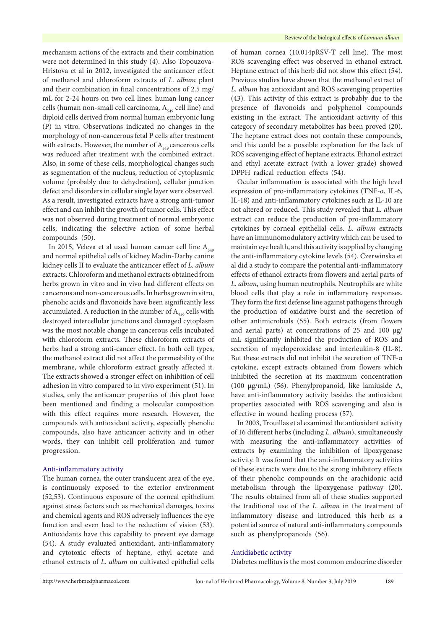mechanism actions of the extracts and their combination were not determined in this study (4). Also Topouzova-Hristova et al in 2012, investigated the anticancer effect of methanol and chloroform extracts of *L. album* plant and their combination in final concentrations of 2.5 mg/ mL for 2-24 hours on two cell lines: human lung cancer cells (human non-small cell carcinoma,  $A_{549}$  cell line) and diploid cells derived from normal human embryonic lung (P) in vitro. Observations indicated no changes in the morphology of non-cancerous fetal P cells after treatment with extracts. However, the number of  $A_{549}$  cancerous cells was reduced after treatment with the combined extract. Also, in some of these cells, morphological changes such as segmentation of the nucleus, reduction of cytoplasmic volume (probably due to dehydration), cellular junction defect and disorders in cellular single layer were observed. As a result, investigated extracts have a strong anti-tumor effect and can inhibit the growth of tumor cells. This effect was not observed during treatment of normal embryonic cells, indicating the selective action of some herbal compounds (50).

In 2015, Veleva et al used human cancer cell line  $A_{549}$ and normal epithelial cells of kidney Madin-Darby canine kidney cells II to evaluate the anticancer effect of *L. album* extracts. Chloroform and methanol extracts obtained from herbs grown in vitro and in vivo had different effects on cancerous and non-cancerous cells. In herbs grown in vitro, phenolic acids and flavonoids have been significantly less accumulated. A reduction in the number of  $A_{549}$  cells with destroyed intercellular junctions and damaged cytoplasm was the most notable change in cancerous cells incubated with chloroform extracts. These chloroform extracts of herbs had a strong anti-cancer effect. In both cell types, the methanol extract did not affect the permeability of the membrane, while chloroform extract greatly affected it. The extracts showed a stronger effect on inhibition of cell adhesion in vitro compared to in vivo experiment (51). In studies, only the anticancer properties of this plant have been mentioned and finding a molecular composition with this effect requires more research. However, the compounds with antioxidant activity, especially phenolic compounds, also have anticancer activity and in other words, they can inhibit cell proliferation and tumor progression.

## Anti-inflammatory activity

The human cornea, the outer translucent area of the eye, is continuously exposed to the exterior environment (52,53). Continuous exposure of the corneal epithelium against stress factors such as mechanical damages, toxins and chemical agents and ROS adversely influences the eye function and even lead to the reduction of vision (53). Antioxidants have this capability to prevent eye damage (54). A study evaluated antioxidant, anti-inflammatory and cytotoxic effects of heptane, ethyl acetate and ethanol extracts of *L. album* on cultivated epithelial cells

of human cornea (10.014pRSV-T cell line). The most ROS scavenging effect was observed in ethanol extract. Heptane extract of this herb did not show this effect (54). Previous studies have shown that the methanol extract of *L. album* has antioxidant and ROS scavenging properties (43). This activity of this extract is probably due to the presence of flavonoids and polyphenol compounds existing in the extract. The antioxidant activity of this category of secondary metabolites has been proved (20). The heptane extract does not contain these compounds, and this could be a possible explanation for the lack of ROS scavenging effect of heptane extracts. Ethanol extract and ethyl acetate extract (with a lower grade) showed DPPH radical reduction effects (54).

Ocular inflammation is associated with the high level expression of pro-inflammatory cytokines (TNF-α, IL-6, IL-18) and anti-inflammatory cytokines such as IL-10 are not altered or reduced. This study revealed that *L. album* extract can reduce the production of pro-inflammatory cytokines by corneal epithelial cells. *L. album* extracts have an immunomodulatory activity which can be used to maintain eye health, and this activity is applied by changing the anti-inflammatory cytokine levels (54). Czerwinska et al did a study to compare the potential anti-inflammatory effects of ethanol extracts from flowers and aerial parts of *L. album*, using human neutrophils. Neutrophils are white blood cells that play a role in inflammatory responses. They form the first defense line against pathogens through the production of oxidative burst and the secretion of other antimicrobials (55). Both extracts (from flowers and aerial parts) at concentrations of 25 and 100 μg/ mL significantly inhibited the production of ROS and secretion of myeloperoxidase and interleukin-8 (IL-8). But these extracts did not inhibit the secretion of TNF-α cytokine, except extracts obtained from flowers which inhibited the secretion at its maximum concentration (100 μg/mL) (56). Phenylpropanoid, like lamiuside A, have anti-inflammatory activity besides the antioxidant properties associated with ROS scavenging and also is effective in wound healing process (57).

In 2003, Trouillas et al examined the antioxidant activity of 16 different herbs (including *L. album*), simultaneously with measuring the anti-inflammatory activities of extracts by examining the inhibition of lipoxygenase activity. It was found that the anti-inflammatory activities of these extracts were due to the strong inhibitory effects of their phenolic compounds on the arachidonic acid metabolism through the lipoxygenase pathway (20). The results obtained from all of these studies supported the traditional use of the *L. album* in the treatment of inflammatory disease and introduced this herb as a potential source of natural anti-inflammatory compounds such as phenylpropanoids (56).

## Antidiabetic activity

Diabetes mellitus is the most common endocrine disorder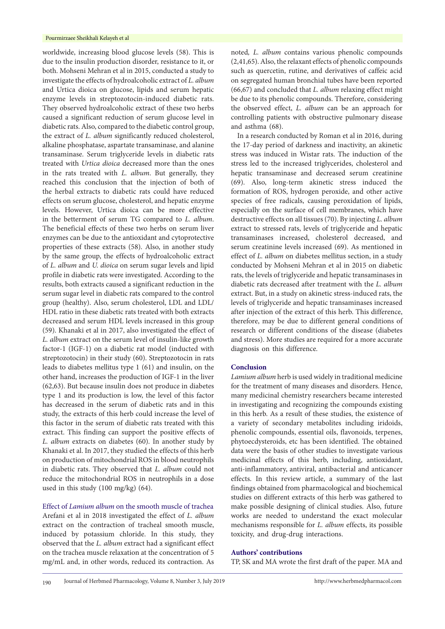worldwide, increasing blood glucose levels (58). This is due to the insulin production disorder, resistance to it, or both. Mohseni Mehran et al in 2015, conducted a study to investigate the effects of hydroalcoholic extract of *L. album* and Urtica dioica on glucose, lipids and serum hepatic enzyme levels in streptozotocin-induced diabetic rats. They observed hydroalcoholic extract of these two herbs caused a significant reduction of serum glucose level in diabetic rats. Also, compared to the diabetic control group, the extract of *L. album* significantly reduced cholesterol, alkaline phosphatase, aspartate transaminase, and alanine transaminase. Serum triglyceride levels in diabetic rats treated with *Urtica dioica* decreased more than the ones in the rats treated with *L. album*. But generally, they reached this conclusion that the injection of both of the herbal extracts to diabetic rats could have reduced effects on serum glucose, cholesterol, and hepatic enzyme levels. However, Urtica dioica can be more effective in the betterment of serum TG compared to *L. album*. The beneficial effects of these two herbs on serum liver enzymes can be due to the antioxidant and cytoprotective properties of these extracts (58). Also, in another study by the same group, the effects of hydroalcoholic extract of *L. album* and *U. dioica* on serum sugar levels and lipid profile in diabetic rats were investigated. According to the results, both extracts caused a significant reduction in the serum sugar level in diabetic rats compared to the control group (healthy). Also, serum cholesterol, LDL and LDL/ HDL ratio in these diabetic rats treated with both extracts decreased and serum HDL levels increased in this group (59). Khanaki et al in 2017, also investigated the effect of *L. album* extract on the serum level of insulin-like growth factor-1 (IGF-1) on a diabetic rat model (inducted with streptozotocin) in their study (60). Streptozotocin in rats leads to diabetes mellitus type 1 (61) and insulin, on the other hand, increases the production of IGF-1 in the liver (62,63). But because insulin does not produce in diabetes type 1 and its production is low, the level of this factor has decreased in the serum of diabetic rats and in this study, the extracts of this herb could increase the level of this factor in the serum of diabetic rats treated with this extract. This finding can support the positive effects of *L. album* extracts on diabetes (60). In another study by Khanaki et al. In 2017, they studied the effects of this herb on production of mitochondrial ROS in blood neutrophils in diabetic rats. They observed that *L. album* could not reduce the mitochondrial ROS in neutrophils in a dose used in this study (100 mg/kg) (64).

Effect of *Lamium album* on the smooth muscle of trachea Arefani et al in 2018 investigated the effect of *L. album* extract on the contraction of tracheal smooth muscle, induced by potassium chloride. In this study, they observed that the *L. album* extract had a significant effect on the trachea muscle relaxation at the concentration of 5 mg/mL and, in other words, reduced its contraction. As noted*, L. album* contains various phenolic compounds (2,41,65). Also, the relaxant effects of phenolic compounds such as quercetin, rutine, and derivatives of caffeic acid on segregated human bronchial tubes have been reported (66,67) and concluded that *L. album* relaxing effect might be due to its phenolic compounds. Therefore, considering the observed effect, *L. album* can be an approach for controlling patients with obstructive pulmonary disease and asthma (68).

In a research conducted by Roman et al in 2016, during the 17-day period of darkness and inactivity, an akinetic stress was induced in Wistar rats. The induction of the stress led to the increased triglycerides, cholesterol and hepatic transaminase and decreased serum creatinine (69). Also, long-term akinetic stress induced the formation of ROS, hydrogen peroxide, and other active species of free radicals, causing peroxidation of lipids, especially on the surface of cell membranes, which have destructive effects on all tissues (70). By injecting *L. album* extract to stressed rats, levels of triglyceride and hepatic transaminases increased, cholesterol decreased, and serum creatinine levels increased (69). As mentioned in effect of *L. album* on diabetes mellitus section, in a study conducted by Mohseni Mehran et al in 2015 on diabetic rats, the levels of triglyceride and hepatic transaminases in diabetic rats decreased after treatment with the *L. album* extract. But, in a study on akinetic stress-induced rats, the levels of triglyceride and hepatic transaminases increased after injection of the extract of this herb. This difference, therefore, may be due to different general conditions of research or different conditions of the disease (diabetes and stress). More studies are required for a more accurate diagnosis on this difference.

## **Conclusion**

*Lamium album* herb is used widely in traditional medicine for the treatment of many diseases and disorders. Hence, many medicinal chemistry researchers became interested in investigating and recognizing the compounds existing in this herb. As a result of these studies, the existence of a variety of secondary metabolites including iridoids, phenolic compounds, essential oils, flavonoids, terpenes, phytoecdysteroids, etc has been identified. The obtained data were the basis of other studies to investigate various medicinal effects of this herb, including, antioxidant, anti-inflammatory, antiviral, antibacterial and anticancer effects. In this review article, a summary of the last findings obtained from pharmacological and biochemical studies on different extracts of this herb was gathered to make possible designing of clinical studies. Also, future works are needed to understand the exact molecular mechanisms responsible for *L. album* effects, its possible toxicity, and drug-drug interactions.

## **Authors' contributions**

TP, SK and MA wrote the first draft of the paper. MA and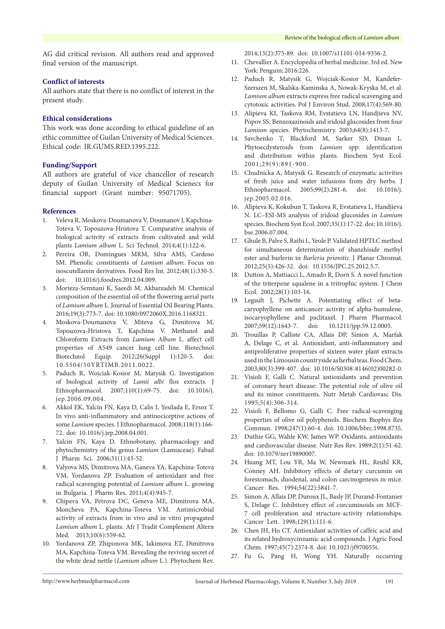AG did critical revision. All authors read and approved final version of the manuscript.

## **Conflict of interests**

All authors state that there is no conflict of interest in the present study.

## **Ethical considerations**

This work was done according to ethical guideline of an ethic committee of Guilan University of Medical Sciences. Ethical code: IR.GUMS.RED.1395.222.

## **Funding/Support**

All authors are grateful of vice chancellor of research deputy of Guilan University of Medical Scienecs for financial support (Grant number: 95071705).

## **References**

- 1. Veleva R, Moskova-Doumanova V, Doumanov J, Kapchina-Toteva V, Topouzova-Hristova T. Comparative analysis of biological activity of extracts from cultivated and wild plants *Lamium album* L. Sci Technol. 2014;4(1):122-6.
- 2. Pereira OR, Domingues MRM, Silva AMS, Cardoso SM. Phenolic constituents of *Lamium album*: Focus on isoscutellarein derivatives. Food Res Int. 2012;48(1):330-5. doi: 10.1016/j.foodres.2012.04.009.
- 3. Morteza-Semnani K, Saeedi M, Akbarzadeh M. Chemical composition of the essential oil of the flowering aerial parts of *Lamium album* L. Journal of Essential Oil Bearing Plants. 2016;19(3):773-7. doi: 10.1080/0972060X.2016.1168321.
- 4. Moskova-Doumanova V, Miteva G, Dimitrova M, Topouzova-Hristova T, Kapchina V. Methanol and Chloroform Extracts from *Lamium Album* L. affect cell properties of A549 cancer lung cell line. Biotechnol Biotechnol Equip. 2012;26(Suppl 1):120-5. doi: 10.5504/50YRTIMB.2011.0022.
- 5. Paduch R, Wojciak-Kosior M, Matysik G. Investigation of biological activity of *Lamii albi* flos extracts. J Ethnopharmacol. 2007;110(1):69-75. doi: 10.1016/j. jep.2006.09.004.
- 6. Akkol EK, Yalcin FN, Kaya D, Calis I, Yesilada E, Ersoz T. In vivo anti-inflammatory and antinociceptive actions of some *Lamium* species. J Ethnopharmacol. 2008;118(1):166- 72. doi: 10.1016/j.jep.2008.04.001.
- 7. Yalcin FN, Kaya D. Ethnobotany, pharmacology and phytochemistry of the genus *Lamium* (Lamiaceae). Fabad J Pharm Sci. 2006;31(1):43-52.
- 8. Valyova MS, Dimitrova MA, Ganeva YA, Kapchina-Toteva VM, Yordanova ZP. Evaluation of antioxidant and free radical scavenging potential of *Lamium album* L. growing in Bulgaria. J Pharm Res. 2011;4(4):945-7.
- 9. Chipeva VA, Petrova DC, Geneva ME, Dimitrova MA, Moncheva PA, Kapchina-Toteva VM. Antimicrobial activity of extracts from in vivo and in vitro propagated *Lamium album* L. plants. Afr J Tradit Complement Altern Med. 2013;10(6):559-62.
- 10. Yordanova ZP, Zhiponova MK, Iakimova ET, Dimitrova MA, Kapchina-Toteva VM. Revealing the reviving secret of the white dead nettle (*Lamium album* L.). Phytochem Rev.

2014;13(2):375-89. doi: 10.1007/s11101-014-9356-2.

- 11. Chevallier A. Encyclopedia of herbal medicine. 3rd ed. New York: Penguin; 2016:226.
- 12. Paduch R, Matysik G, Wojciak-Kosior M, Kandefer-Szerszen M, Skalska-Kaminska A, Nowak-Kryska M, et al. *Lamium album* extracts express free radical scavenging and cytotoxic activities. Pol J Environ Stud. 2008;17(4):569-80.
- 13. Alipieva KI, Taskova RM, Evstatieva LN, Handjieva NV, Popov SS. Benzoxazinoids and iridoid glucosides from four *Lamium* species. Phytochemistry. 2003;64(8):1413-7.
- 14. Savchenko T, Blackford M, Sarker SD, Dinan L. Phytoecdysteroids from *Lamium* spp: identification and distribution within plants. Biochem Syst Ecol. 2001;29(9):891-900.
- 15. Chudnicka A, Matysik G. Research of enzymatic activities of fresh juice and water infusions from dry herbs. J Ethnopharmacol. 2005;99(2):281-6. doi: 10.1016/j. jep.2005.02.016.
- 16. Alipieva K, Kokubun T, Taskova R, Evstatieva L, Handjieva N. LC–ESI-MS analysis of iridoid glucosides in *Lamium* species. Biochem Syst Ecol. 2007;35(1):17-22. doi: 10.1016/j. bse.2006.07.004.
- 17. Ghule B, Palve S, Rathi L, Yeole P. Validated HPTLC method for simultaneous determination of shanzhiside methyl ester and barlerin in *Barleria prionitis*. J Planar Chromat. 2012;25(5):426-32. doi: 10.1556/JPC.25.2012.5.7.
- 18. Dutton A, Mattiacci L, Amado R, Dorn S. A novel function of the triterpene squalene in a tritrophic system. J Chem Ecol. 2002;28(1):103-16.
- 19. Legault J, Pichette A. Potentiating effect of betacaryophyllene on anticancer activity of alpha-humulene, isocaryophyllene and paclitaxel. J Pharm Pharmacol. 2007;59(12):1643-7. doi: 10.1211/jpp.59.12.0005.
- 20. Trouillas P, Calliste CA, Allais DP, Simon A, Marfak A, Delage C, et al. Antioxidant, anti-inflammatory and antiproliferative properties of sixteen water plant extracts used in the Limousin countryside as herbal teas. Food Chem. 2003;80(3):399-407. doi: 10.1016/S0308-8146(02)00282-0.
- 21. Visioli F, Galli C. Natural antioxidants and prevention of coronary heart disease: The potential role of olive oil and its minor constituents. Nutr Metab Cardiovasc Dis. 1995;5(4):306-314.
- 22. Visioli F, Bellomo G, Galli C. Free radical-scavenging properties of olive oil polyphenols. Biochem Biophys Res Commun. 1998;247(1):60-4. doi: 10.1006/bbrc.1998.8735.
- 23. Duthie GG, Wahle KW, James WP. Oxidants, antioxidants and cardiovascular disease. Nutr Res Rev. 1989;2(1):51-62. doi: 10.1079/nrr19890007.
- 24. Huang MT, Lou YR, Ma W, Newmark HL, Reuhl KR, Conney AH. Inhibitory effects of dietary curcumin on forestomach, duodenal, and colon carcinogenesis in mice. Cancer Res. 1994;54(22):5841-7.
- 25. Simon A, Allais DP, Duroux JL, Basly JP, Durand-Fontanier S, Delage C. Inhibitory effect of curcuminoids on MCF-7 cell proliferation and structure-activity relationships. Cancer Lett. 1998;129(1):111-6.
- 26. Chen JH, Ho CT. Antioxidant activities of caffeic acid and its related hydroxycinnamic acid compounds. J Agric Food Chem. 1997;45(7):2374-8. doi: 10.1021/jf970055t.
- 27. Fu G, Pang H, Wong YH. Naturally occurring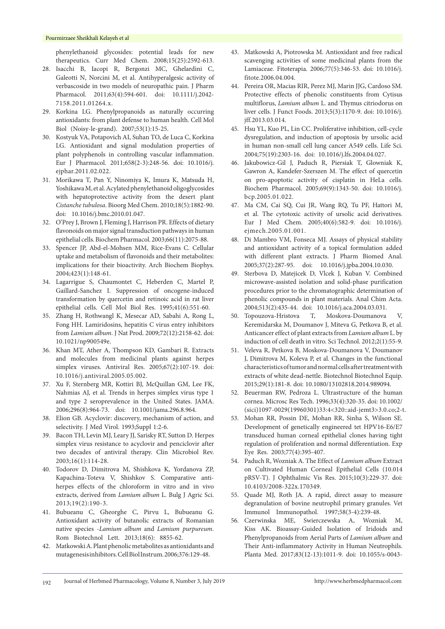#### Pourmirzaee Sheikhali Kelayeh et al

phenylethanoid glycosides: potential leads for new therapeutics. Curr Med Chem. 2008;15(25):2592-613.

- 28. Isacchi B, Iacopi R, Bergonzi MC, Ghelardini C, Galeotti N, Norcini M, et al. Antihyperalgesic activity of verbascoside in two models of neuropathic pain. J Pharm Pharmacol. 2011;63(4):594-601. doi: 10.1111/j.2042- 7158.2011.01264.x.
- 29. Korkina LG. Phenylpropanoids as naturally occurring antioxidants: from plant defense to human health. Cell Mol Biol (Noisy-le-grand). 2007;53(1):15-25.
- 30. Kostyuk VA, Potapovich AI, Suhan TO, de Luca C, Korkina LG. Antioxidant and signal modulation properties of plant polyphenols in controlling vascular inflammation. Eur J Pharmacol. 2011;658(2-3):248-56. doi: 10.1016/j. ejphar.2011.02.022.
- 31. Morikawa T, Pan Y, Ninomiya K, Imura K, Matsuda H, Yoshikawa M, et al. Acylated phenylethanoid oligoglycosides with hepatoprotective activity from the desert plant *Cistanche tubulosa*. Bioorg Med Chem. 2010;18(5):1882-90. doi: 10.1016/j.bmc.2010.01.047.
- 32. O'Prey J, Brown J, Fleming J, Harrison PR. Effects of dietary flavonoids on major signal transduction pathways in human epithelial cells. Biochem Pharmacol. 2003;66(11):2075-88.
- 33. Spencer JP, Abd-el-Mohsen MM, Rice-Evans C. Cellular uptake and metabolism of flavonoids and their metabolites: implications for their bioactivity. Arch Biochem Biophys. 2004;423(1):148-61.
- 34. Lagarrigue S, Chaumontet C, Heberden C, Martel P, Gaillard-Sanchez I. Suppression of oncogene-induced transformation by quercetin and retinoic acid in rat liver epithelial cells. Cell Mol Biol Res. 1995;41(6):551-60.
- 35. Zhang H, Rothwangl K, Mesecar AD, Sabahi A, Rong L, Fong HH. Lamiridosins, hepatitis C virus entry inhibitors from *Lamium album*. J Nat Prod. 2009;72(12):2158-62. doi: 10.1021/np900549e.
- 36. Khan MT, Ather A, Thompson KD, Gambari R. Extracts and molecules from medicinal plants against herpes simplex viruses. Antiviral Res. 2005;67(2):107-19. doi: 10.1016/j.antiviral.2005.05.002.
- 37. Xu F, Sternberg MR, Kottiri BJ, McQuillan GM, Lee FK, Nahmias AJ, et al. Trends in herpes simplex virus type 1 and type 2 seroprevalence in the United States. JAMA. 2006;296(8):964-73. doi: 10.1001/jama.296.8.964.
- 38. Elion GB. Acyclovir: discovery, mechanism of action, and selectivity. J Med Virol. 1993;Suppl 1:2-6.
- 39. Bacon TH, Levin MJ, Leary JJ, Sarisky RT, Sutton D. Herpes simplex virus resistance to acyclovir and penciclovir after two decades of antiviral therapy. Clin Microbiol Rev. 2003;16(1):114-28.
- 40. Todorov D, Dimitrova M, Shishkova K, Yordanova ZP, Kapachina-Toteva V, Shishkov S. Comparative antiherpes effects of the chloroform in vitro and in vivo extracts, derived from *Lamium album* L. Bulg J Agric Sci. 2013;19(2):190-3.
- 41. Bubueanu C, Gheorghe C, Pirvu L, Bubueanu G. Antioxidant activity of butanolic extracts of Romanian native species -*Lamium album* and *Lamium purpureum.*  Rom Biotechnol Lett. 2013;18(6): 8855-62.
- 42. Matkowski A. Plant phenolic metabolites as antioxidants and mutagenesis inhibitors. Cell Biol Instrum. 2006;376:129-48.
- 43. Matkowski A, Piotrowska M. Antioxidant and free radical scavenging activities of some medicinal plants from the Lamiaceae. Fitoterapia. 2006;77(5):346-53. doi: 10.1016/j. fitote.2006.04.004.
- 44. Pereira OR, Macias RIR, Perez MJ, Marin JJG, Cardoso SM. Protective effects of phenolic constituents from Cytisus multiflorus, *Lamium album* L. and Thymus citriodorus on liver cells. J Funct Foods. 2013;5(3):1170-9. doi: 10.1016/j. jff.2013.03.014.
- 45. Hsu YL, Kuo PL, Lin CC. Proliferative inhibition, cell-cycle dysregulation, and induction of apoptosis by ursolic acid in human non-small cell lung cancer A549 cells. Life Sci. 2004;75(19):2303-16. doi: 10.1016/j.lfs.2004.04.027.
- 46. Jakubowicz-Gil J, Paduch R, Piersiak T, Glowniak K, Gawron A, Kandefer-Szerszen M. The effect of quercetin on pro-apoptotic activity of cisplatin in HeLa cells. Biochem Pharmacol. 2005;69(9):1343-50. doi: 10.1016/j. bcp.2005.01.022.
- 47. Ma CM, Cai SQ, Cui JR, Wang RQ, Tu PF, Hattori M, et al. The cytotoxic activity of ursolic acid derivatives. Eur J Med Chem. 2005;40(6):582-9. doi: 10.1016/j. ejmech.2005.01.001.
- 48. Di Mambro VM, Fonseca MJ. Assays of physical stability and antioxidant activity of a topical formulation added with different plant extracts. J Pharm Biomed Anal. 2005;37(2):287-95. doi: 10.1016/j.jpba.2004.10.030.
- 49. Sterbova D, Matejicek D, Vlcek J, Kuban V. Combined microwave-assisted isolation and solid-phase purification procedures prior to the chromatographic determination of phenolic compounds in plant materials. Anal Chim Acta. 2004;513(2):435-44. doi: 10.1016/j.aca.2004.03.031.
- 50. Topouzova-Hristova T, Moskova-Doumanova V, Keremidarska M, Doumanov J, Miteva G, Petkova B, et al. Anticancer effect of plant extracts from *Lamium album* L. by induction of cell death in vitro. Sci Technol. 2012;2(1):55-9.
- 51. Veleva R, Petkova B, Moskova-Doumanova V, Doumanov J, Dimitrova M, Koleva P, et al. Changes in the functional characteristics of tumor and normal cells after treatment with extracts of white dead-nettle. Biotechnol Biotechnol Equip. 2015;29(1):181-8. doi: 10.1080/13102818.2014.989094.
- 52. Beuerman RW, Pedroza L. Ultrastructure of the human cornea. Microsc Res Tech. 1996;33(4):320-35. doi: 10.1002/ (sici)1097-0029(19960301)33:4<320::aid-jemt3>3.0.co;2-t.
- 53. Mohan RR, Possin DE, Mohan RR, Sinha S, Wilson SE. Development of genetically engineered tet HPV16-E6/E7 transduced human corneal epithelial clones having tight regulation of proliferation and normal differentiation. Exp Eye Res. 2003;77(4):395-407.
- 54. Paduch R, Wozniak A. The Effect of *Lamium album* Extract on Cultivated Human Corneal Epithelial Cells (10.014 pRSV-T). J Ophthalmic Vis Res. 2015;10(3):229-37. doi: 10.4103/2008-322x.170349.
- 55. Quade MJ, Roth JA. A rapid, direct assay to measure degranulation of bovine neutrophil primary granules. Vet Immunol Immunopathol. 1997;58(3-4):239-48.
- 56. Czerwinska ME, Swierczewska A, Wozniak M, Kiss AK. Bioassay-Guided Isolation of Iridoids and Phenylpropanoids from Aerial Parts of *Lamium album* and Their Anti-inflammatory Activity in Human Neutrophils. Planta Med. 2017;83(12-13):1011-9. doi: 10.1055/s-0043-